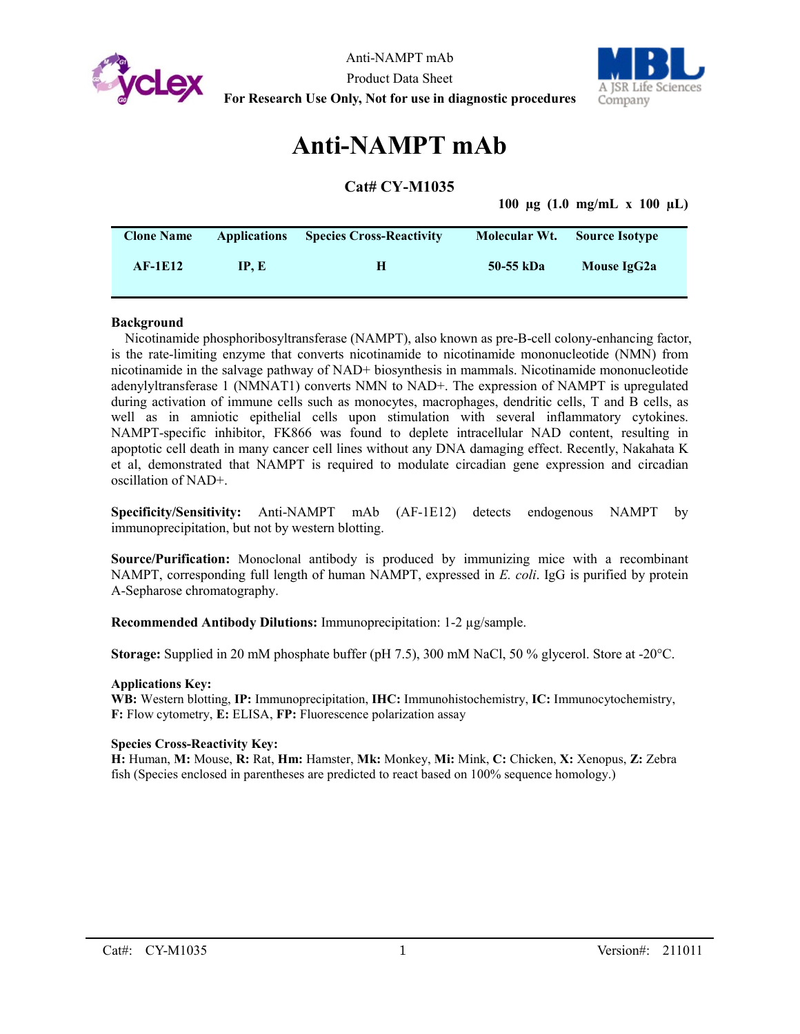



# **Anti-NAMPT mAb**

# **Cat# CY-M1035**

**100 µg (1.0 mg/mL x 100 µL)**

| <b>Clone Name</b> | <b>Applications</b> | <b>Species Cross-Reactivity</b> | Molecular Wt. | <b>Source Isotype</b> |  |
|-------------------|---------------------|---------------------------------|---------------|-----------------------|--|
| $AF-1E12$         | IP. E               | н                               | 50-55 kDa     | Mouse IgG2a           |  |

# **Background**

Nicotinamide phosphoribosyltransferase (NAMPT), also known as pre-B-cell colony-enhancing factor, is the rate-limiting enzyme that converts nicotinamide to nicotinamide mononucleotide (NMN) from nicotinamide in the salvage pathway of NAD+ biosynthesis in mammals. Nicotinamide mononucleotide adenylyltransferase 1 (NMNAT1) converts NMN to NAD+. The expression of NAMPT is upregulated during activation of immune cells such as monocytes, macrophages, dendritic cells, T and B cells, as well as in amniotic epithelial cells upon stimulation with several inflammatory cytokines. NAMPT-specific inhibitor, FK866 was found to deplete intracellular NAD content, resulting in apoptotic cell death in many cancer cell lines without any DNA damaging effect. Recently, Nakahata K et al, demonstrated that NAMPT is required to modulate circadian gene expression and circadian oscillation of NAD+.

**Specificity/Sensitivity:** Anti-NAMPT mAb (AF-1E12) detects endogenous NAMPT by immunoprecipitation, but not by western blotting.

**Source/Purification:** Monoclonal antibody is produced by immunizing mice with a recombinant NAMPT, corresponding full length of human NAMPT, expressed in *E. coli*. IgG is purified by protein A-Sepharose chromatography.

**Recommended Antibody Dilutions:** Immunoprecipitation: 1-2 µg/sample.

**Storage:** Supplied in 20 mM phosphate buffer (pH 7.5), 300 mM NaCl, 50 % glycerol. Store at -20°C.

## **Applications Key:**

**WB:** Western blotting, **IP:** Immunoprecipitation, **IHC:** Immunohistochemistry, **IC:** Immunocytochemistry, **F:** Flow cytometry, **E:** ELISA, **FP:** Fluorescence polarization assay

## **Species Cross-Reactivity Key:**

**H:** Human, **M:** Mouse, **R:** Rat, **Hm:** Hamster, **Mk:** Monkey, **Mi:** Mink, **C:** Chicken, **X:** Xenopus, **Z:** Zebra fish (Species enclosed in parentheses are predicted to react based on 100% sequence homology.)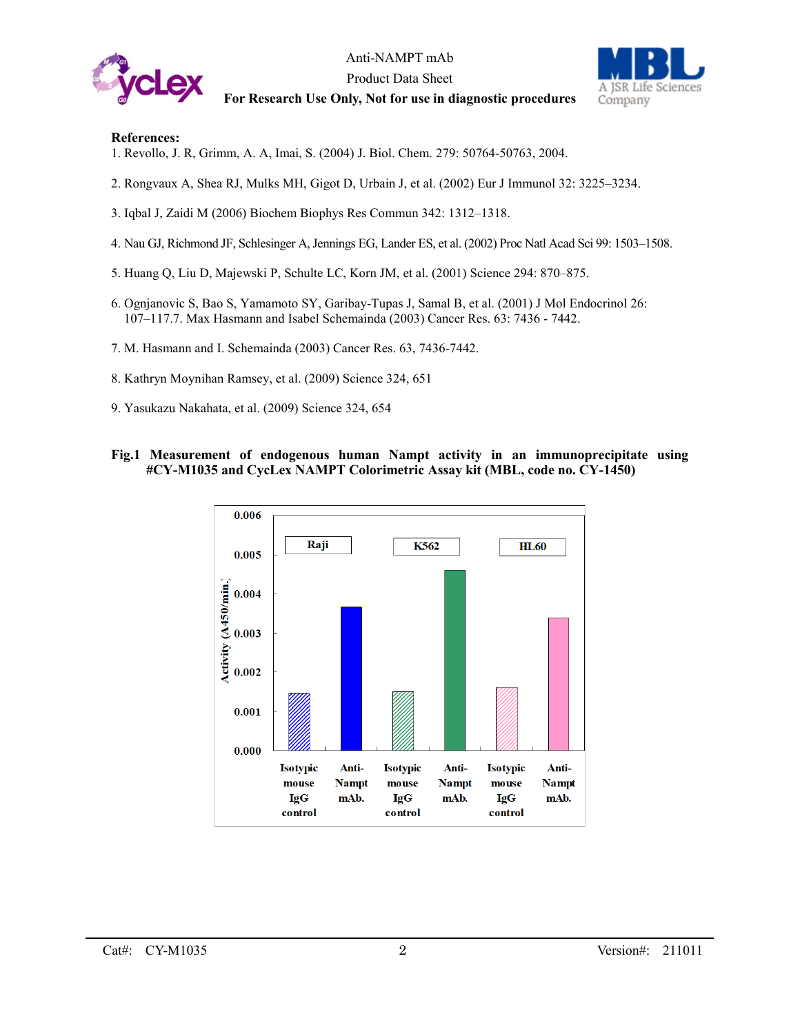

Anti-NAMPT mAb Product Data Sheet **For Research Use Only, Not for use in diagnostic procedures**



## **References:**

- 1. Revollo, J. R, Grimm, A. A, Imai, S. (2004) J. Biol. Chem. 279: 50764-50763, 2004.
- 2. Rongvaux A, Shea RJ, Mulks MH, Gigot D, Urbain J, et al. (2002) Eur J Immunol 32: 3225–3234.
- 3. Iqbal J, Zaidi M (2006) Biochem Biophys Res Commun 342: 1312–1318.
- 4. Nau GJ, Richmond JF, Schlesinger A, Jennings EG, Lander ES, et al. (2002) Proc Natl Acad Sci 99: 1503–1508.
- 5. Huang Q, Liu D, Majewski P, Schulte LC, Korn JM, et al. (2001) Science 294: 870–875.
- 6. Ognjanovic S, Bao S, Yamamoto SY, Garibay-Tupas J, Samal B, et al. (2001) J Mol Endocrinol 26: 107–117.7. Max Hasmann and Isabel Schemainda (2003) Cancer Res. 63: 7436 - 7442.
- 7. M. Hasmann and I. Schemainda (2003) Cancer Res. 63, 7436-7442.
- 8. Kathryn Moynihan Ramsey, et al. (2009) Science 324, 651
- 9. Yasukazu Nakahata, et al. (2009) Science 324, 654

# **Fig.1 Measurement of endogenous human Nampt activity in an immunoprecipitate using #CY-M1035 and CycLex NAMPT Colorimetric Assay kit (MBL, code no. CY-1450)**

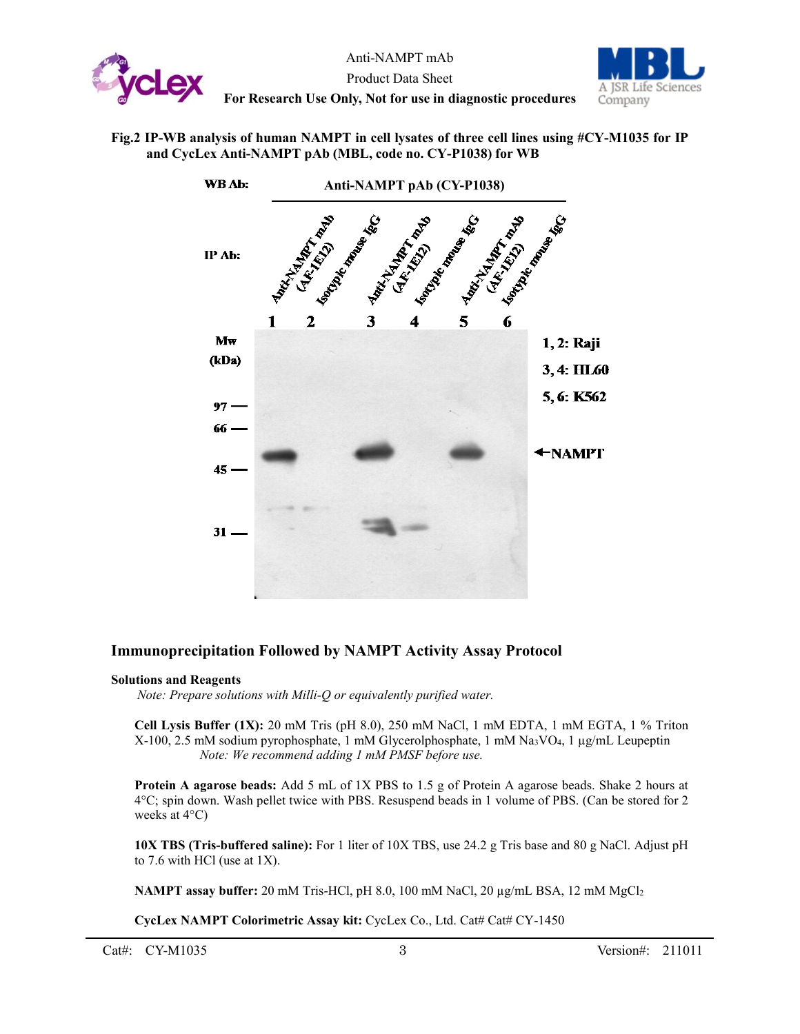

Anti-NAMPT mAb Product Data Sheet **For Research Use Only, Not for use in diagnostic procedures**



**Fig.2 IP-WB analysis of human NAMPT in cell lysates of three cell lines using #CY-M1035 for IP and CycLex Anti-NAMPT pAb (MBL, code no. CY-P1038) for WB**



# **Immunoprecipitation Followed by NAMPT Activity Assay Protocol**

## **Solutions and Reagents**

*Note: Prepare solutions with Milli-Q or equivalently purified water.*

**Cell Lysis Buffer (1X):** 20 mM Tris (pH 8.0), 250 mM NaCl, 1 mM EDTA, 1 mM EGTA, 1 % Triton X-100, 2.5 mM sodium pyrophosphate, 1 mM Glycerolphosphate, 1 mM Na3VO4, 1 µg/mL Leupeptin *Note: We recommend adding 1 mM PMSF before use.*

**Protein A agarose beads:** Add 5 mL of 1X PBS to 1.5 g of Protein A agarose beads. Shake 2 hours at 4°C; spin down. Wash pellet twice with PBS. Resuspend beads in 1 volume of PBS. (Can be stored for 2 weeks at 4°C)

**10X TBS (Tris-buffered saline):** For 1 liter of 10X TBS, use 24.2 g Tris base and 80 g NaCl. Adjust pH to 7.6 with HCl (use at 1X).

**NAMPT assay buffer:** 20 mM Tris-HCl, pH 8.0, 100 mM NaCl, 20 µg/mL BSA, 12 mM MgCl2

**CycLex NAMPT Colorimetric Assay kit:** CycLex Co., Ltd. Cat# Cat# CY-1450